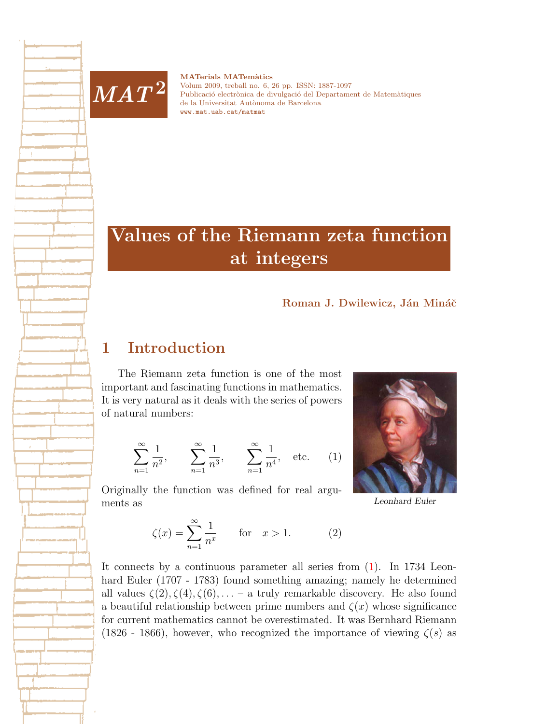

**MATerials MATemàtics** Volum 2009, treball no. 6, [26](#page-25-0) pp. ISSN: 1887-1097 Publicació electrònica de divulgació del Departament de Matemàtiques de la Universitat Autònoma de Barcelona [www.mat.uab.cat/matmat](http://www.mat.uab.cat/matmat)

# Values of the Riemann zeta function at integers

#### Roman J. Dwilewicz, Ján Mináč

## 1 Introduction

The Riemann zeta function is one of the most important and fascinating functions in mathematics. It is very natural as it deals with the series of powers of natural numbers:

<span id="page-0-0"></span>
$$
\sum_{n=1}^{\infty} \frac{1}{n^2}, \qquad \sum_{n=1}^{\infty} \frac{1}{n^3}, \qquad \sum_{n=1}^{\infty} \frac{1}{n^4}, \quad \text{etc.} \qquad (1)
$$

Originally the function was defined for real arguments as



Leonhard Euler

<span id="page-0-1"></span> $\zeta(x) = \sum_{n=0}^{\infty}$  $n=1$ 1  $\frac{1}{n^x}$  for  $x > 1$ . (2)

It connects by a continuous parameter all series from [\(1\)](#page-0-0). In 1734 Leonhard Euler (1707 - 1783) found something amazing; namely he determined all values  $\zeta(2), \zeta(4), \zeta(6), \ldots$  – a truly remarkable discovery. He also found a beautiful relationship between prime numbers and  $\zeta(x)$  whose significance for current mathematics cannot be overestimated. It was Bernhard Riemann (1826 - 1866), however, who recognized the importance of viewing  $\zeta(s)$  as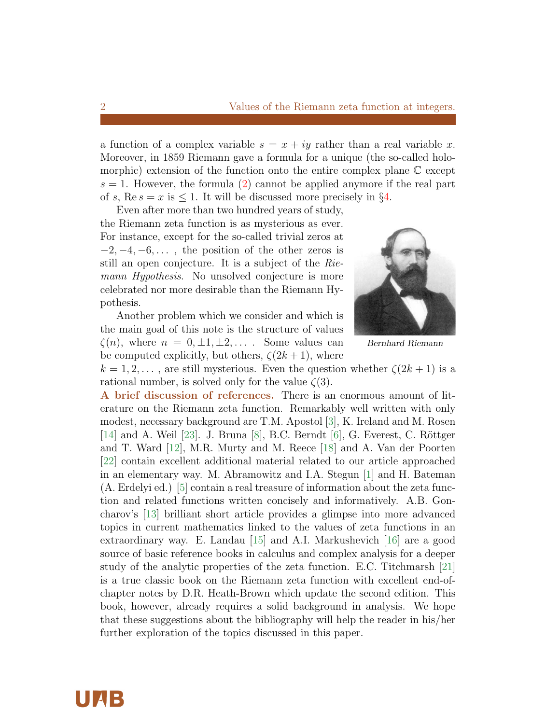a function of a complex variable  $s = x + iy$  rather than a real variable x. Moreover, in 1859 Riemann gave a formula for a unique (the so-called holomorphic) extension of the function onto the entire complex plane C except  $s = 1$ . However, the formula [\(2\)](#page-0-1) cannot be applied anymore if the real part of s,  $\text{Re } s = x$  is  $\leq 1$ . It will be discussed more precisely in §[4.](#page-4-0)

Even after more than two hundred years of study, the Riemann zeta function is as mysterious as ever. For instance, except for the so-called trivial zeros at  $-2, -4, -6, \ldots$ , the position of the other zeros is still an open conjecture. It is a subject of the Riemann Hypothesis. No unsolved conjecture is more celebrated nor more desirable than the Riemann Hypothesis.

Another problem which we consider and which is the main goal of this note is the structure of values  $\zeta(n)$ , where  $n = 0, \pm 1, \pm 2, \ldots$ . Some values can be computed explicitly, but others,  $\zeta(2k+1)$ , where



Bernhard Riemann

 $k = 1, 2, \ldots$ , are still mysterious. Even the question whether  $\zeta(2k+1)$  is a rational number, is solved only for the value  $\zeta(3)$ .

A brief discussion of references. There is an enormous amount of literature on the Riemann zeta function. Remarkably well written with only modest, necessary background are T.M. Apostol [\[3\]](#page-23-0), K. Ireland and M. Rosen [\[14\]](#page-24-0) and A. Weil [\[23\]](#page-25-1). J. Bruna [\[8\]](#page-23-1), B.C. Berndt [\[6\]](#page-23-2), G. Everest, C. Röttger and T. Ward [\[12\]](#page-24-1), M.R. Murty and M. Reece [\[18\]](#page-24-2) and A. Van der Poorten [\[22\]](#page-25-2) contain excellent additional material related to our article approached in an elementary way. M. Abramowitz and I.A. Stegun [\[1\]](#page-23-3) and H. Bateman (A. Erdelyi ed.) [\[5\]](#page-23-4) contain a real treasure of information about the zeta function and related functions written concisely and informatively. A.B. Goncharov's [\[13\]](#page-24-3) brilliant short article provides a glimpse into more advanced topics in current mathematics linked to the values of zeta functions in an extraordinary way. E. Landau [\[15\]](#page-24-4) and A.I. Markushevich [\[16\]](#page-24-5) are a good source of basic reference books in calculus and complex analysis for a deeper study of the analytic properties of the zeta function. E.C. Titchmarsh [\[21\]](#page-25-3) is a true classic book on the Riemann zeta function with excellent end-ofchapter notes by D.R. Heath-Brown which update the second edition. This book, however, already requires a solid background in analysis. We hope that these suggestions about the bibliography will help the reader in his/her further exploration of the topics discussed in this paper.



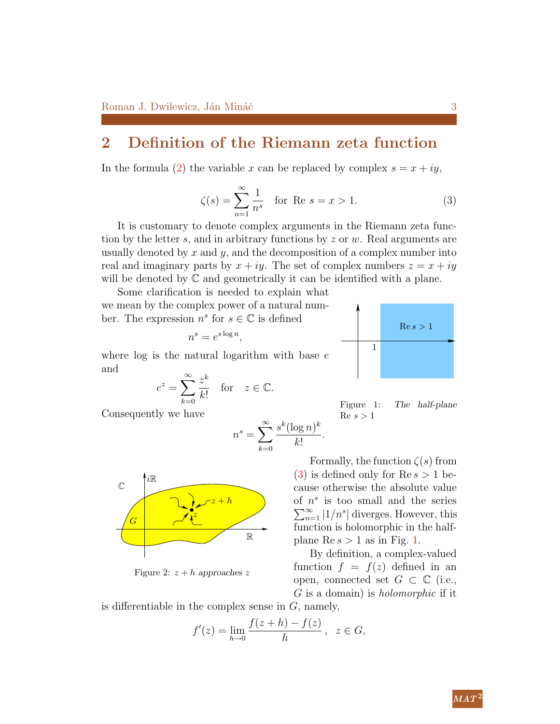## 2 Definition of the Riemann zeta function

<span id="page-2-0"></span>In the formula [\(2\)](#page-0-1) the variable x can be replaced by complex  $s = x + iy$ ,

$$
\zeta(s) = \sum_{n=1}^{\infty} \frac{1}{n^s}
$$
 for Re  $s = x > 1$ . (3)

It is customary to denote complex arguments in the Riemann zeta function by the letter s, and in arbitrary functions by  $z$  or  $w$ . Real arguments are usually denoted by x and y, and the decomposition of a complex number into real and imaginary parts by  $x + iy$ . The set of complex numbers  $z = x + iy$ will be denoted by  $\mathbb C$  and geometrically it can be identified with a plane.

<span id="page-2-1"></span>Some clarification is needed to explain what we mean by the complex power of a natural number. The expression  $n^s$  for  $s \in \mathbb{C}$  is defined

$$
n^s = e^{s \log n},
$$

where  $log$  is the natural logarithm with base  $e$ and

$$
e^z = \sum_{k=0}^{\infty} \frac{z^k}{k!} \quad \text{for} \quad z \in \mathbb{C}.
$$

Consequently we have

iR

G

<span id="page-2-2"></span> $\mathbb{C}$ 

$$
n^s = \sum_{k=0}^{\infty} \frac{s^k (\log n)^k}{k!}
$$



.

By definition, a complex-valued function  $f = f(z)$  defined in an open, connected set  $G \subset \mathbb{C}$  (i.e., G is a domain) is holomorphic if it

is differentiable in the complex sense in  $G$ , namely,

z

Figure 2:  $z + h$  approaches z

$$
f'(z) = \lim_{h \to 0} \frac{f(z+h) - f(z)}{h}, \ \ z \in G,
$$



Figure 1: The half-plane  $Re s > 1$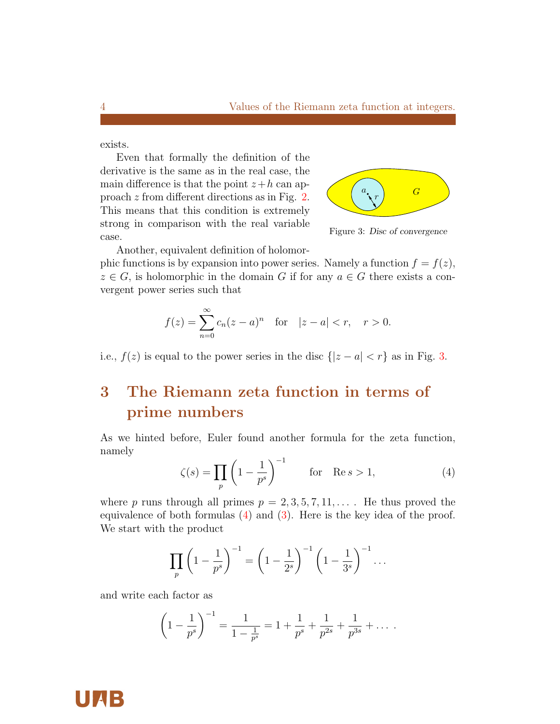<span id="page-3-0"></span>exists.

Even that formally the definition of the derivative is the same as in the real case, the main difference is that the point  $z+h$  can approach z from different directions as in Fig. [2.](#page-2-2) This means that this condition is extremely strong in comparison with the real variable case.



Figure 3: Disc of convergence

Another, equivalent definition of holomor-

phic functions is by expansion into power series. Namely a function  $f = f(z)$ ,  $z \in G$ , is holomorphic in the domain G if for any  $a \in G$  there exists a convergent power series such that

$$
f(z) = \sum_{n=0}^{\infty} c_n (z - a)^n \quad \text{for} \quad |z - a| < r, \quad r > 0.
$$

i.e.,  $f(z)$  is equal to the power series in the disc  $\{|z - a| < r\}$  as in Fig. [3.](#page-3-0)

# 3 The Riemann zeta function in terms of prime numbers

<span id="page-3-1"></span>As we hinted before, Euler found another formula for the zeta function, namely

$$
\zeta(s) = \prod_{p} \left( 1 - \frac{1}{p^s} \right)^{-1} \qquad \text{for} \quad \text{Re } s > 1,\tag{4}
$$

where p runs through all primes  $p = 2, 3, 5, 7, 11, \ldots$ . He thus proved the equivalence of both formulas  $(4)$  and  $(3)$ . Here is the key idea of the proof. We start with the product

$$
\prod_{p} \left( 1 - \frac{1}{p^{s}} \right)^{-1} = \left( 1 - \frac{1}{2^{s}} \right)^{-1} \left( 1 - \frac{1}{3^{s}} \right)^{-1} \dots
$$

and write each factor as

$$
\left(1 - \frac{1}{p^{s}}\right)^{-1} = \frac{1}{1 - \frac{1}{p^{s}}} = 1 + \frac{1}{p^{s}} + \frac{1}{p^{2s}} + \frac{1}{p^{3s}} + \dots
$$

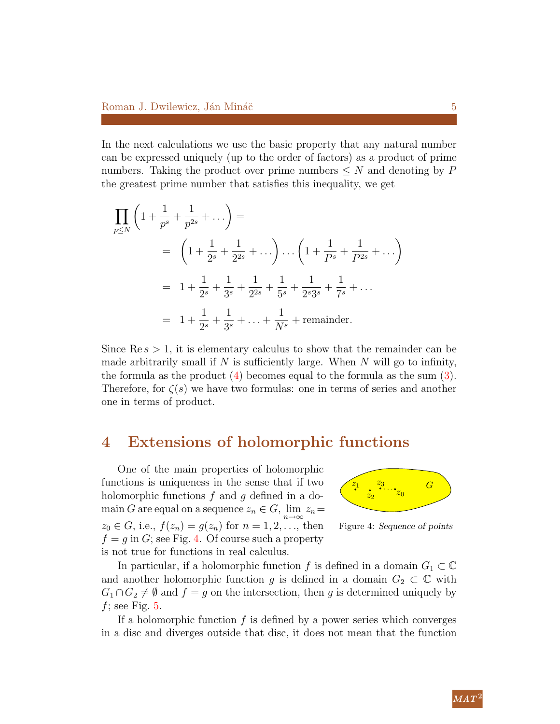In the next calculations we use the basic property that any natural number can be expressed uniquely (up to the order of factors) as a product of prime numbers. Taking the product over prime numbers  $\leq N$  and denoting by P the greatest prime number that satisfies this inequality, we get

$$
\prod_{p \le N} \left( 1 + \frac{1}{p^s} + \frac{1}{p^{2s}} + \dots \right) =
$$
\n
$$
= \left( 1 + \frac{1}{2^s} + \frac{1}{2^{2s}} + \dots \right) \dots \left( 1 + \frac{1}{P^s} + \frac{1}{P^{2s}} + \dots \right)
$$
\n
$$
= 1 + \frac{1}{2^s} + \frac{1}{3^s} + \frac{1}{2^{2s}} + \frac{1}{5^s} + \frac{1}{2^s 3^s} + \frac{1}{7^s} + \dots
$$
\n
$$
= 1 + \frac{1}{2^s} + \frac{1}{3^s} + \dots + \frac{1}{N^s} + \text{remainder.}
$$

Since  $\text{Re } s > 1$ , it is elementary calculus to show that the remainder can be made arbitrarily small if  $N$  is sufficiently large. When  $N$  will go to infinity, the formula as the product [\(4\)](#page-3-1) becomes equal to the formula as the sum [\(3\)](#page-2-0). Therefore, for  $\zeta(s)$  we have two formulas: one in terms of series and another one in terms of product.

## <span id="page-4-0"></span>4 Extensions of holomorphic functions

<span id="page-4-1"></span>One of the main properties of holomorphic functions is uniqueness in the sense that if two holomorphic functions  $f$  and  $g$  defined in a domain G are equal on a sequence  $z_n \in G$ ,  $\lim_{n \to \infty} z_n =$  $z_0 \in G$ , i.e.,  $f(z_n) = g(z_n)$  for  $n = 1, 2, ...,$  then  $f = g$  in G; see Fig. [4.](#page-4-1) Of course such a property is not true for functions in real calculus.



Figure 4: Sequence of points

In particular, if a holomorphic function f is defined in a domain  $G_1 \subset \mathbb{C}$ and another holomorphic function g is defined in a domain  $G_2 \subset \mathbb{C}$  with  $G_1 \cap G_2 \neq \emptyset$  and  $f = g$  on the intersection, then g is determined uniquely by f; see Fig.  $5$ .

If a holomorphic function  $f$  is defined by a power series which converges in a disc and diverges outside that disc, it does not mean that the function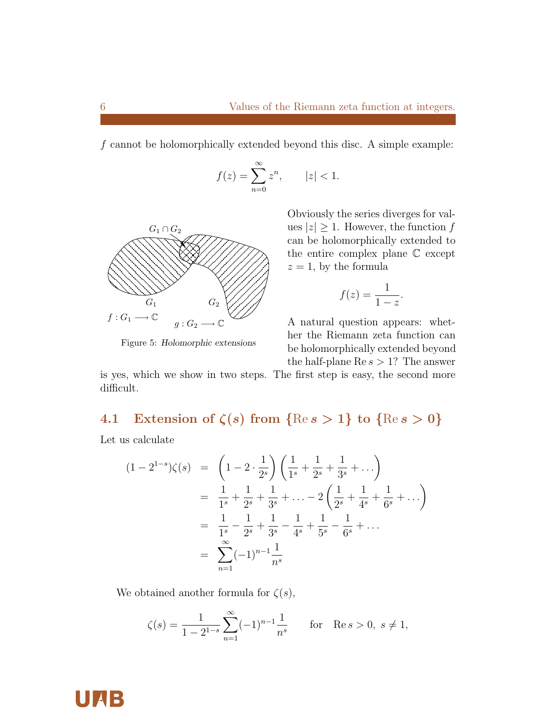f cannot be holomorphically extended beyond this disc. A simple example:

$$
f(z) = \sum_{n=0}^{\infty} z^n, \qquad |z| < 1.
$$

<span id="page-5-0"></span>

Figure 5: Holomorphic extensions

Obviously the series diverges for values  $|z| \geq 1$ . However, the function f can be holomorphically extended to the entire complex plane C except  $z = 1$ , by the formula

$$
f(z) = \frac{1}{1-z}.
$$

A natural question appears: whether the Riemann zeta function can be holomorphically extended beyond the half-plane  $\text{Re } s > 1$ ? The answer

is yes, which we show in two steps. The first step is easy, the second more difficult.

# 4.1 Extension of  $\zeta(s)$  from  $\{\mathop{\mathrm{Re}} s > 1\}$  to  $\{\mathop{\mathrm{Re}} s > 0\}$

Let us calculate

$$
(1 - 2^{1-s})\zeta(s) = \left(1 - 2 \cdot \frac{1}{2^s}\right) \left(\frac{1}{1^s} + \frac{1}{2^s} + \frac{1}{3^s} + \dots\right)
$$
  
=  $\frac{1}{1^s} + \frac{1}{2^s} + \frac{1}{3^s} + \dots - 2\left(\frac{1}{2^s} + \frac{1}{4^s} + \frac{1}{6^s} + \dots\right)$   
=  $\frac{1}{1^s} - \frac{1}{2^s} + \frac{1}{3^s} - \frac{1}{4^s} + \frac{1}{5^s} - \frac{1}{6^s} + \dots$   
=  $\sum_{n=1}^{\infty} (-1)^{n-1} \frac{1}{n^s}$ 

We obtained another formula for  $\zeta(s)$ ,

$$
\zeta(s) = \frac{1}{1 - 2^{1 - s}} \sum_{n=1}^{\infty} (-1)^{n-1} \frac{1}{n^s}
$$
 for Re  $s > 0$ ,  $s \neq 1$ ,



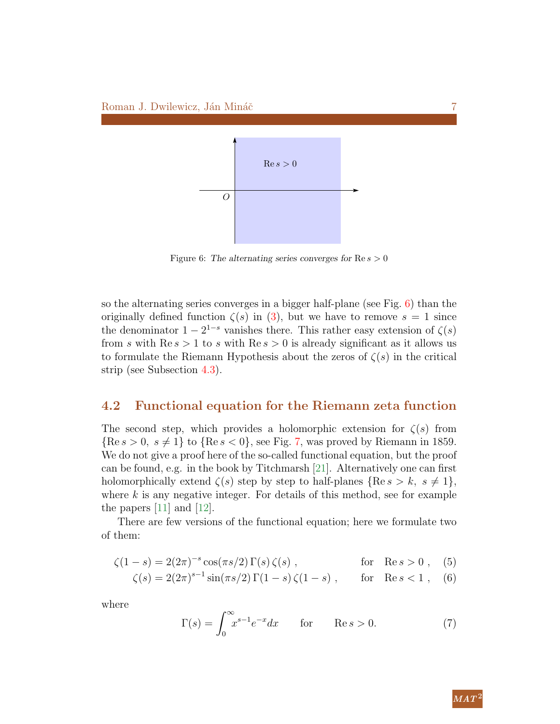<span id="page-6-0"></span>

Figure 6: The alternating series converges for  $\text{Re } s > 0$ 

so the alternating series converges in a bigger half-plane (see Fig. [6\)](#page-6-0) than the originally defined function  $\zeta(s)$  in [\(3\)](#page-2-0), but we have to remove  $s = 1$  since the denominator  $1 - 2^{1-s}$  vanishes there. This rather easy extension of  $\zeta(s)$ from s with  $\text{Re } s > 1$  to s with  $\text{Re } s > 0$  is already significant as it allows us to formulate the Riemann Hypothesis about the zeros of  $\zeta(s)$  in the critical strip (see Subsection [4.3\)](#page-8-0).

#### 4.2 Functional equation for the Riemann zeta function

The second step, which provides a holomorphic extension for  $\zeta(s)$  from  ${Re s > 0, s \neq 1}$  to  ${Re s < 0}$ , see Fig. [7,](#page-7-0) was proved by Riemann in 1859. We do not give a proof here of the so-called functional equation, but the proof can be found, e.g. in the book by Titchmarsh [\[21\]](#page-25-3). Alternatively one can first holomorphically extend  $\zeta(s)$  step by step to half-planes  $\{\text{Re } s > k, s \neq 1\},\$ where  $k$  is any negative integer. For details of this method, see for example the papers [\[11\]](#page-24-6) and [\[12\]](#page-24-1).

There are few versions of the functional equation; here we formulate two of them:

$$
\zeta(1-s) = 2(2\pi)^{-s} \cos(\pi s/2) \Gamma(s) \zeta(s) , \qquad \text{for} \quad \text{Re } s > 0 , \quad (5)
$$

<span id="page-6-3"></span>
$$
\zeta(s) = 2(2\pi)^{s-1}\sin(\pi s/2)\Gamma(1-s)\zeta(1-s) , \quad \text{for} \quad \text{Re}\, s < 1 , \quad (6)
$$

where

<span id="page-6-2"></span><span id="page-6-1"></span>
$$
\Gamma(s) = \int_0^\infty x^{s-1} e^{-x} dx \qquad \text{for} \qquad \text{Re } s > 0. \tag{7}
$$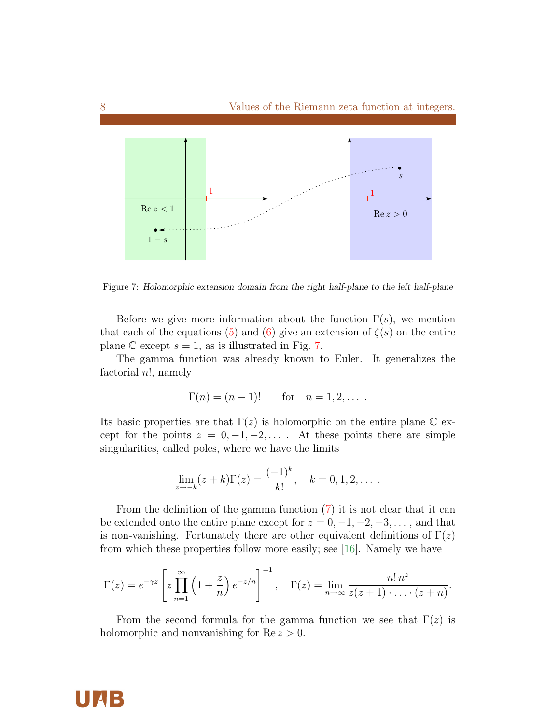<span id="page-7-0"></span>

Figure 7: Holomorphic extension domain from the right half-plane to the left half-plane

Before we give more information about the function  $\Gamma(s)$ , we mention that each of the equations [\(5\)](#page-6-1) and [\(6\)](#page-6-2) give an extension of  $\zeta(s)$  on the entire plane  $\mathbb C$  except  $s = 1$ , as is illustrated in Fig. [7.](#page-7-0)

The gamma function was already known to Euler. It generalizes the factorial  $n!$ , namely

$$
\Gamma(n) = (n-1)!
$$
 for  $n = 1, 2, ...$ 

Its basic properties are that  $\Gamma(z)$  is holomorphic on the entire plane C except for the points  $z = 0, -1, -2, \ldots$ . At these points there are simple singularities, called poles, where we have the limits

$$
\lim_{z \to -k} (z + k) \Gamma(z) = \frac{(-1)^k}{k!}, \quad k = 0, 1, 2, \dots
$$

From the definition of the gamma function [\(7\)](#page-6-3) it is not clear that it can be extended onto the entire plane except for  $z = 0, -1, -2, -3, \ldots$ , and that is non-vanishing. Fortunately there are other equivalent definitions of  $\Gamma(z)$ from which these properties follow more easily; see [\[16\]](#page-24-5). Namely we have

$$
\Gamma(z) = e^{-\gamma z} \left[ z \prod_{n=1}^{\infty} \left( 1 + \frac{z}{n} \right) e^{-z/n} \right]^{-1}, \quad \Gamma(z) = \lim_{n \to \infty} \frac{n! \, n^z}{z(z+1) \cdot \ldots \cdot (z+n)}.
$$

From the second formula for the gamma function we see that  $\Gamma(z)$  is holomorphic and nonvanishing for  $Re z > 0$ .

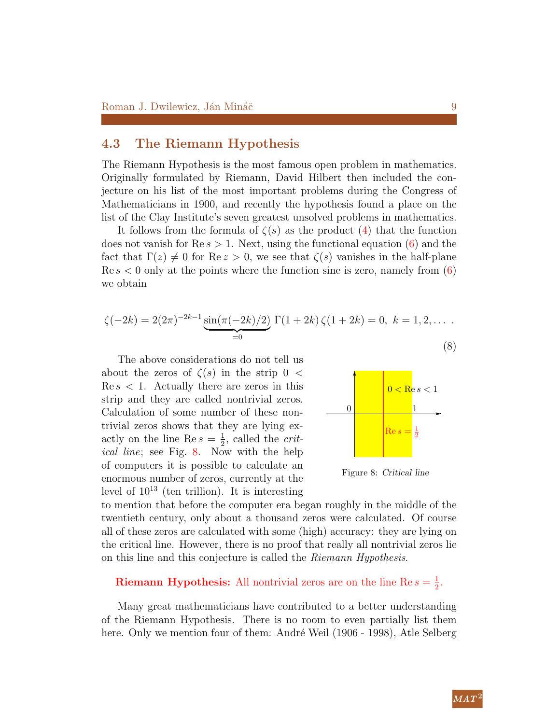#### <span id="page-8-0"></span>4.3 The Riemann Hypothesis

The Riemann Hypothesis is the most famous open problem in mathematics. Originally formulated by Riemann, David Hilbert then included the conjecture on his list of the most important problems during the Congress of Mathematicians in 1900, and recently the hypothesis found a place on the list of the Clay Institute's seven greatest unsolved problems in mathematics.

It follows from the formula of  $\zeta(s)$  as the product  $(4)$  that the function does not vanish for  $\text{Re } s > 1$ . Next, using the functional equation [\(6\)](#page-6-2) and the fact that  $\Gamma(z) \neq 0$  for  $\text{Re } z > 0$ , we see that  $\zeta(s)$  vanishes in the half-plane  $\text{Re } s < 0$  only at the points where the function sine is zero, namely from [\(6\)](#page-6-2) we obtain

<span id="page-8-2"></span>
$$
\zeta(-2k) = 2(2\pi)^{-2k-1} \underbrace{\sin(\pi(-2k)/2)}_{=0} \Gamma(1+2k) \zeta(1+2k) = 0, \ k = 1, 2, \dots
$$
\n(8)

<span id="page-8-1"></span>The above considerations do not tell us about the zeros of  $\zeta(s)$  in the strip 0 <  $\text{Re } s < 1.$  Actually there are zeros in this strip and they are called nontrivial zeros. Calculation of some number of these nontrivial zeros shows that they are lying exactly on the line Re  $s=\frac{1}{2}$  $\frac{1}{2}$ , called the *crit*ical line; see Fig. [8.](#page-8-1) Now with the help of computers it is possible to calculate an enormous number of zeros, currently at the level of  $10^{13}$  (ten trillion). It is interesting



Figure 8: Critical line

to mention that before the computer era began roughly in the middle of the twentieth century, only about a thousand zeros were calculated. Of course all of these zeros are calculated with some (high) accuracy: they are lying on the critical line. However, there is no proof that really all nontrivial zeros lie on this line and this conjecture is called the Riemann Hypothesis.

#### **Riemann Hypothesis:** All nontrivial zeros are on the line Re  $s = \frac{1}{2}$  $\frac{1}{2}$ .

Many great mathematicians have contributed to a better understanding of the Riemann Hypothesis. There is no room to even partially list them here. Only we mention four of them: André Weil (1906 - 1998), Atle Selberg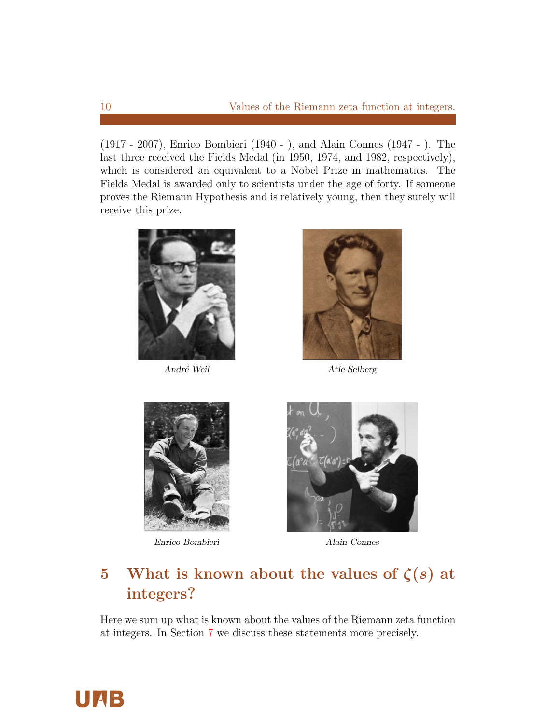(1917 - 2007), Enrico Bombieri (1940 - ), and Alain Connes (1947 - ). The last three received the Fields Medal (in 1950, 1974, and 1982, respectively), which is considered an equivalent to a Nobel Prize in mathematics. The Fields Medal is awarded only to scientists under the age of forty. If someone proves the Riemann Hypothesis and is relatively young, then they surely will receive this prize.



André Weil Atle Selberg





Enrico Bombieri Alain Connes



# 5 What is known about the values of  $\zeta(s)$  at integers?

Here we sum up what is known about the values of the Riemann zeta function at integers. In Section [7](#page-14-0) we discuss these statements more precisely.

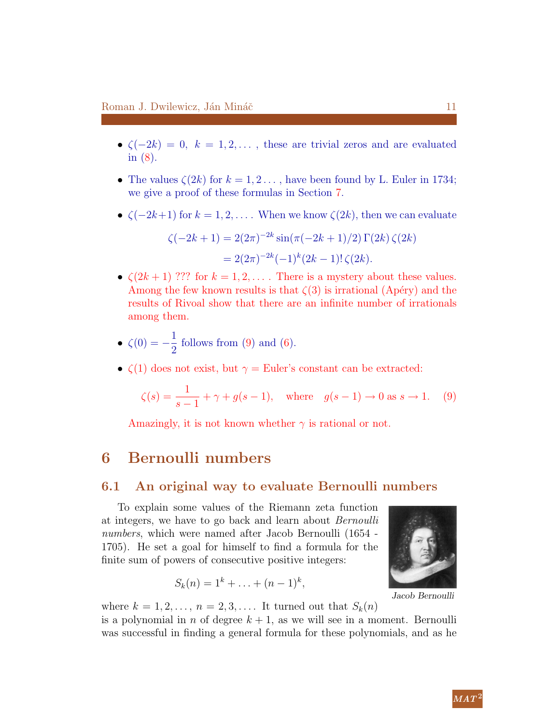- $\zeta(-2k) = 0, k = 1, 2, \ldots$ , these are trivial zeros and are evaluated in [\(8\)](#page-8-2).
- The values  $\zeta(2k)$  for  $k = 1, 2, \ldots$ , have been found by L. Euler in 1734; we give a proof of these formulas in Section [7.](#page-14-0)
- $\zeta(-2k+1)$  for  $k = 1, 2, \ldots$ . When we know  $\zeta(2k)$ , then we can evaluate

$$
\zeta(-2k+1) = 2(2\pi)^{-2k} \sin(\pi(-2k+1)/2) \Gamma(2k) \zeta(2k)
$$
  
= 2(2\pi)^{-2k}(-1)^k (2k-1)!\zeta(2k).

•  $\zeta(2k+1)$  ??? for  $k = 1, 2, \ldots$ . There is a mystery about these values. Among the few known results is that  $\zeta(3)$  is irrational (Apéry) and the results of Rivoal show that there are an infinite number of irrationals among them.

• 
$$
\zeta(0) = -\frac{1}{2}
$$
 follows from (9) and (6).

•  $\zeta(1)$  does not exist, but  $\gamma =$  Euler's constant can be extracted:

$$
\zeta(s) = \frac{1}{s-1} + \gamma + g(s-1), \text{ where } g(s-1) \to 0 \text{ as } s \to 1.
$$
 (9)

Amazingly, it is not known whether  $\gamma$  is rational or not.

## 6 Bernoulli numbers

#### 6.1 An original way to evaluate Bernoulli numbers

To explain some values of the Riemann zeta function at integers, we have to go back and learn about Bernoulli numbers, which were named after Jacob Bernoulli (1654 - 1705). He set a goal for himself to find a formula for the finite sum of powers of consecutive positive integers:

$$
S_k(n) = 1^k + \ldots + (n-1)^k,
$$

where  $k = 1, 2, \ldots, n = 2, 3, \ldots$ . It turned out that  $S_k(n)$ is a polynomial in n of degree  $k + 1$ , as we will see in a moment. Bernoulli was successful in finding a general formula for these polynomials, and as he

<span id="page-10-0"></span>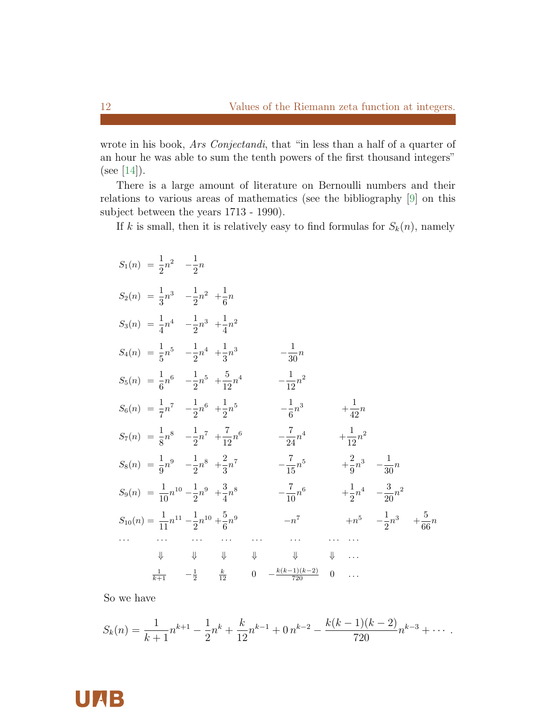wrote in his book, Ars Conjectandi, that "in less than a half of a quarter of an hour he was able to sum the tenth powers of the first thousand integers" (see [\[14\]](#page-24-0)).

There is a large amount of literature on Bernoulli numbers and their relations to various areas of mathematics (see the bibliography [\[9\]](#page-24-7) on this subject between the years 1713 - 1990).

If k is small, then it is relatively easy to find formulas for  $S_k(n)$ , namely

| $S_1(n) = \frac{1}{2}n^2 - \frac{1}{2}n$                              |                                                                                                                                                                                                                                                                                                                                                     |                              |          |                                   |                                         |  |
|-----------------------------------------------------------------------|-----------------------------------------------------------------------------------------------------------------------------------------------------------------------------------------------------------------------------------------------------------------------------------------------------------------------------------------------------|------------------------------|----------|-----------------------------------|-----------------------------------------|--|
| $S_2(n) = \frac{1}{3}n^3 - \frac{1}{2}n^2 + \frac{1}{6}n$             |                                                                                                                                                                                                                                                                                                                                                     |                              |          |                                   |                                         |  |
| $S_3(n) = \frac{1}{4}n^4$ $-\frac{1}{2}n^3$ $+\frac{1}{4}n^2$         |                                                                                                                                                                                                                                                                                                                                                     |                              |          |                                   |                                         |  |
| $S_4(n) = \frac{1}{5}n^5$ $-\frac{1}{2}n^4$ $+\frac{1}{3}n^3$         |                                                                                                                                                                                                                                                                                                                                                     | $-\frac{1}{30}n$             |          |                                   |                                         |  |
| $S_5(n) = \frac{1}{6}n^6 - \frac{1}{2}n^5 + \frac{5}{12}n^4$          |                                                                                                                                                                                                                                                                                                                                                     | $-\frac{1}{19}n^2$           |          |                                   |                                         |  |
| $S_6(n) = \frac{1}{7}n^7 - \frac{1}{2}n^6 + \frac{1}{2}n^5$           |                                                                                                                                                                                                                                                                                                                                                     | $-\frac{1}{6}n^3$            |          | $+\frac{1}{42}n$                  |                                         |  |
| $S_7(n) = \frac{1}{8}n^8 - \frac{1}{2}n^7 + \frac{7}{12}n^6$          |                                                                                                                                                                                                                                                                                                                                                     | $-\frac{7}{24}n^4$           |          | $+\frac{1}{12}n^2$                |                                         |  |
| $S_8(n) = \frac{1}{9}n^9 - \frac{1}{2}n^8 + \frac{2}{3}n^7$           |                                                                                                                                                                                                                                                                                                                                                     | $-\frac{7}{15}n^5$           |          | $+\frac{2}{9}n^3 - \frac{1}{30}n$ |                                         |  |
| $S_9(n) = \frac{1}{10}n^{10} - \frac{1}{2}n^9 + \frac{3}{4}n^8$       |                                                                                                                                                                                                                                                                                                                                                     | $-\frac{7}{10}n^6$           |          |                                   | $+\frac{1}{2}n^4 - \frac{3}{20}n^2$     |  |
| $S_{10}(n) = \frac{1}{11}n^{11} - \frac{1}{2}n^{10} + \frac{5}{6}n^9$ |                                                                                                                                                                                                                                                                                                                                                     | $-n^7\,$                     |          |                                   | $+n^5 - \frac{1}{2}n^3 + \frac{5}{66}n$ |  |
|                                                                       |                                                                                                                                                                                                                                                                                                                                                     |                              |          |                                   |                                         |  |
|                                                                       | $\begin{picture}(160,170) \put(0,0){\line(1,0){10}} \put(10,0){\line(1,0){10}} \put(10,0){\line(1,0){10}} \put(10,0){\line(1,0){10}} \put(10,0){\line(1,0){10}} \put(10,0){\line(1,0){10}} \put(10,0){\line(1,0){10}} \put(10,0){\line(1,0){10}} \put(10,0){\line(1,0){10}} \put(10,0){\line(1,0){10}} \put(10,0){\line(1,0){10}} \put(10,0){\line$ | $\Downarrow$                 |          | $\Downarrow$                      |                                         |  |
|                                                                       | $\frac{1}{k+1}$ $-\frac{1}{2}$ $\frac{k}{12}$                                                                                                                                                                                                                                                                                                       | 0 $-\frac{k(k-1)(k-2)}{720}$ | $\theta$ |                                   |                                         |  |

So we have

$$
S_k(n) = \frac{1}{k+1}n^{k+1} - \frac{1}{2}n^k + \frac{k}{12}n^{k-1} + 0 \cdot n^{k-2} - \frac{k(k-1)(k-2)}{720}n^{k-3} + \cdots
$$

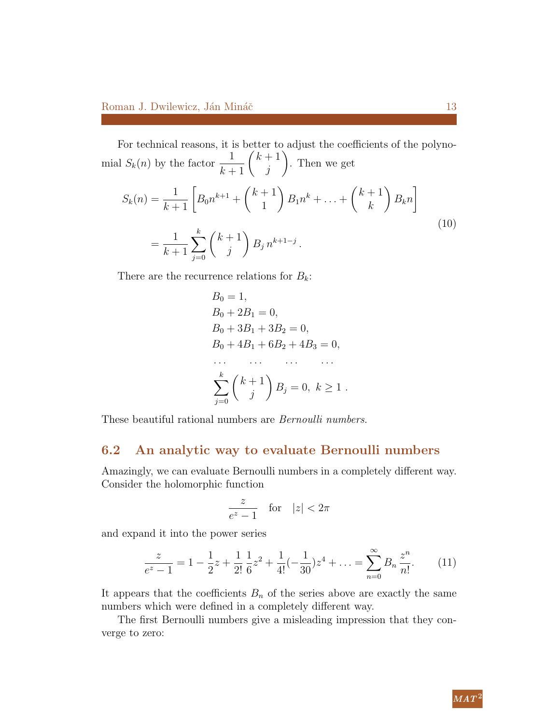For technical reasons, it is better to adjust the coefficients of the polynomial  $S_k(n)$  by the factor  $\frac{1}{k+1}$   $\binom{k+1}{j}$ j  $\setminus$ . Then we get  $S_k(n) = \frac{1}{k+1} \left[ B_0 n^{k+1} + \binom{k+1}{1} \right]$ 1  $\setminus$  $B_1 n^k + \ldots + \binom{k+1}{k}$ k  $\setminus$  $B_k n$ 1 = 1  $k+1$  $\sum$ k  $j=0$  $(k+1)$ j  $\setminus$  $B_j n^{k+1-j}$ . (10)

There are the recurrence relations for  $B_k$ :

<span id="page-12-1"></span>
$$
B_0 = 1,
$$
  
\n
$$
B_0 + 2B_1 = 0,
$$
  
\n
$$
B_0 + 3B_1 + 3B_2 = 0,
$$
  
\n
$$
B_0 + 4B_1 + 6B_2 + 4B_3 = 0,
$$
  
\n... ... ...  
\n
$$
\sum_{j=0}^{k} {k+1 \choose j} B_j = 0, k \ge 1.
$$

These beautiful rational numbers are Bernoulli numbers.

#### 6.2 An analytic way to evaluate Bernoulli numbers

Amazingly, we can evaluate Bernoulli numbers in a completely different way. Consider the holomorphic function

<span id="page-12-0"></span>
$$
\frac{z}{e^z - 1} \quad \text{for} \quad |z| < 2\pi
$$

and expand it into the power series

$$
\frac{z}{e^z - 1} = 1 - \frac{1}{2}z + \frac{1}{2!} \frac{1}{6} z^2 + \frac{1}{4!} (-\frac{1}{30}) z^4 + \dots = \sum_{n=0}^{\infty} B_n \frac{z^n}{n!}.
$$
 (11)

It appears that the coefficients  $B_n$  of the series above are exactly the same numbers which were defined in a completely different way.

The first Bernoulli numbers give a misleading impression that they converge to zero: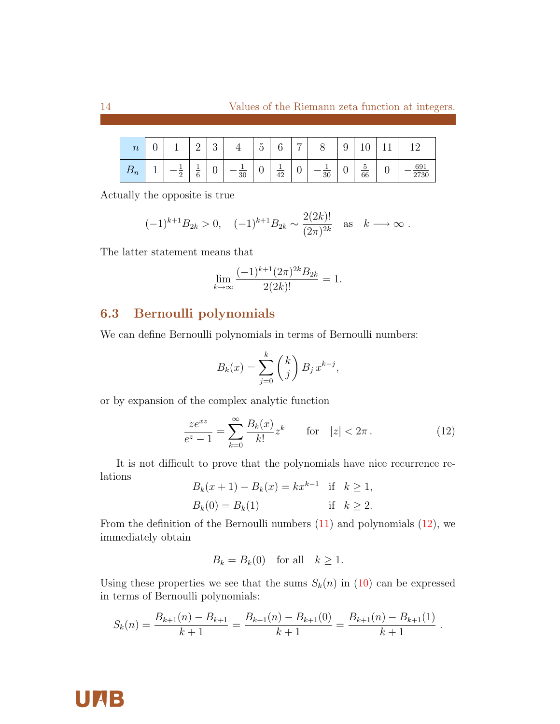| $\, n \,$ | ∽<br>◡ |        | $\Omega$<br>-    | $\Omega$<br>◡ |    | $\tilde{}$<br>∽<br>◡ | ⌒<br>v          | ⇁ | $\check{~}$ | ັ | ┻<br>◡                          |             |
|-----------|--------|--------|------------------|---------------|----|----------------------|-----------------|---|-------------|---|---------------------------------|-------------|
| $\nu_n$   | ۰      | ∩<br>↵ | -<br>$\sim$<br>6 | v             | 30 | ◡                    | $\overline{42}$ | v | 30          | v | -<br>'n<br>◡<br>$\overline{66}$ | 691<br>2730 |

Actually the opposite is true

$$
(-1)^{k+1}B_{2k} > 0
$$
,  $(-1)^{k+1}B_{2k} \sim \frac{2(2k)!}{(2\pi)^{2k}}$  as  $k \longrightarrow \infty$ .

The latter statement means that

$$
\lim_{k \to \infty} \frac{(-1)^{k+1} (2\pi)^{2k} B_{2k}}{2(2k)!} = 1.
$$

## 6.3 Bernoulli polynomials

We can define Bernoulli polynomials in terms of Bernoulli numbers:

<span id="page-13-0"></span>
$$
B_k(x) = \sum_{j=0}^k {k \choose j} B_j x^{k-j},
$$

or by expansion of the complex analytic function

$$
\frac{ze^{xz}}{e^z - 1} = \sum_{k=0}^{\infty} \frac{B_k(x)}{k!} z^k \quad \text{for} \quad |z| < 2\pi \,. \tag{12}
$$

It is not difficult to prove that the polynomials have nice recurrence relations

$$
B_k(x + 1) - B_k(x) = kx^{k-1} \text{ if } k \ge 1,
$$
  
\n
$$
B_k(0) = B_k(1) \text{ if } k \ge 2.
$$

From the definition of the Bernoulli numbers  $(11)$  and polynomials  $(12)$ , we immediately obtain

$$
B_k = B_k(0) \quad \text{for all} \quad k \ge 1.
$$

Using these properties we see that the sums  $S_k(n)$  in [\(10\)](#page-12-1) can be expressed in terms of Bernoulli polynomials:

$$
S_k(n) = \frac{B_{k+1}(n) - B_{k+1}}{k+1} = \frac{B_{k+1}(n) - B_{k+1}(0)}{k+1} = \frac{B_{k+1}(n) - B_{k+1}(1)}{k+1}.
$$

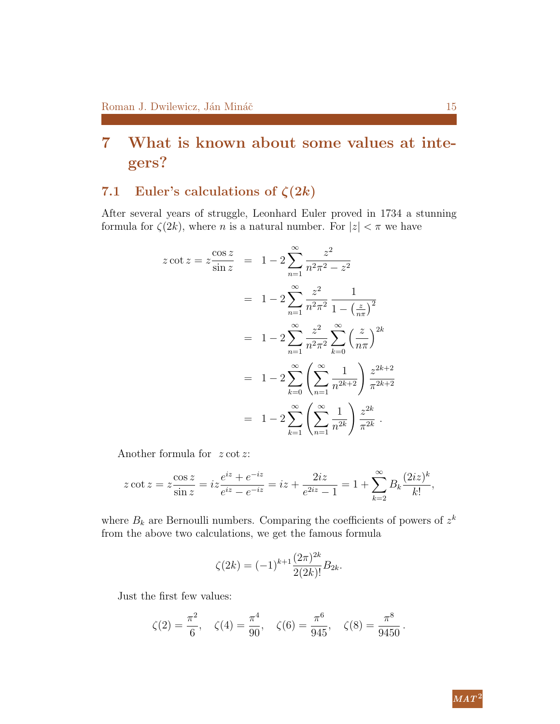# <span id="page-14-0"></span>7 What is known about some values at integers?

## 7.1 Euler's calculations of  $\zeta(2k)$

After several years of struggle, Leonhard Euler proved in 1734 a stunning formula for  $\zeta(2k)$ , where *n* is a natural number. For  $|z| < \pi$  we have

$$
z \cot z = z \frac{\cos z}{\sin z} = 1 - 2 \sum_{n=1}^{\infty} \frac{z^2}{n^2 \pi^2 - z^2}
$$
  
=  $1 - 2 \sum_{n=1}^{\infty} \frac{z^2}{n^2 \pi^2} \frac{1}{1 - \left(\frac{z}{n\pi}\right)^2}$   
=  $1 - 2 \sum_{n=1}^{\infty} \frac{z^2}{n^2 \pi^2} \sum_{k=0}^{\infty} \left(\frac{z}{n\pi}\right)^{2k}$   
=  $1 - 2 \sum_{k=0}^{\infty} \left(\sum_{n=1}^{\infty} \frac{1}{n^{2k+2}}\right) \frac{z^{2k+2}}{\pi^{2k+2}}$   
=  $1 - 2 \sum_{k=1}^{\infty} \left(\sum_{n=1}^{\infty} \frac{1}{n^{2k}}\right) \frac{z^{2k}}{\pi^{2k}}$ .

Another formula for  $z \cot z$ :

$$
z \cot z = z \frac{\cos z}{\sin z} = iz \frac{e^{iz} + e^{-iz}}{e^{iz} - e^{-iz}} = iz + \frac{2iz}{e^{2iz} - 1} = 1 + \sum_{k=2}^{\infty} B_k \frac{(2iz)^k}{k!},
$$

where  $B_k$  are Bernoulli numbers. Comparing the coefficients of powers of  $z^k$ from the above two calculations, we get the famous formula

$$
\zeta(2k) = (-1)^{k+1} \frac{(2\pi)^{2k}}{2(2k)!} B_{2k}.
$$

Just the first few values:

$$
\zeta(2) = \frac{\pi^2}{6}, \quad \zeta(4) = \frac{\pi^4}{90}, \quad \zeta(6) = \frac{\pi^6}{945}, \quad \zeta(8) = \frac{\pi^8}{9450}.
$$

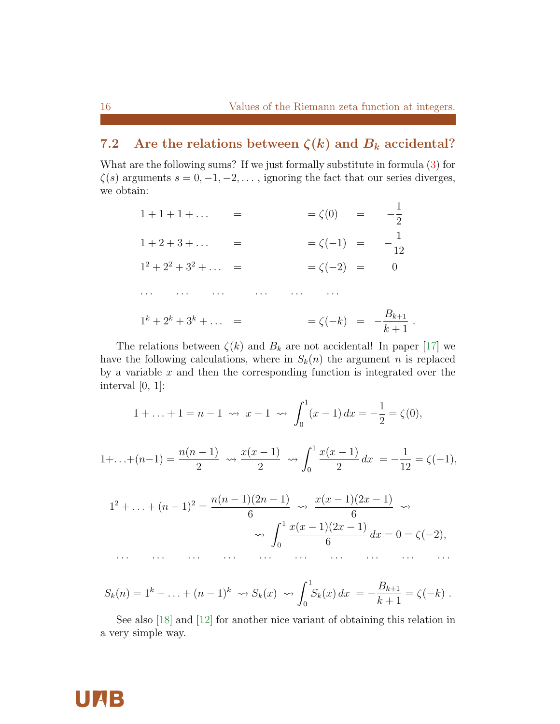.

## 7.2 Are the relations between  $\zeta(k)$  and  $B_k$  accidental?

What are the following sums? If we just formally substitute in formula [\(3\)](#page-2-0) for  $\zeta(s)$  arguments  $s = 0, -1, -2, \ldots$ , ignoring the fact that our series diverges, we obtain:

| $1 + 1 + 1 + \ldots$                                  | $=\zeta(0)$ =                        | $-\frac{1}{2}$                   |
|-------------------------------------------------------|--------------------------------------|----------------------------------|
| $1 + 2 + 3 + \ldots =$                                | $= \zeta(-1) =$                      | $-\frac{1}{12}$                  |
| $1^2 + 2^2 + 3^2 + \ldots =$                          | $=\zeta(-2) =$                       | $\begin{array}{c} 0 \end{array}$ |
| وكوفا التوقيق التوجيد المتحدث والمتوارث وكبور التواصي |                                      |                                  |
| $1^k + 2^k + 3^k + \ldots =$                          | $= \zeta(-k) = -\frac{B_{k+1}}{k+1}$ |                                  |

The relations between  $\zeta(k)$  and  $B_k$  are not accidental! In paper [\[17\]](#page-24-8) we have the following calculations, where in  $S_k(n)$  the argument n is replaced by a variable  $x$  and then the corresponding function is integrated over the interval  $[0, 1]$ :

$$
1 + \ldots + 1 = n - 1 \iff x - 1 \iff \int_0^1 (x - 1) \, dx = -\frac{1}{2} = \zeta(0),
$$

$$
1+\ldots+(n-1)=\frac{n(n-1)}{2}\leadsto\frac{x(x-1)}{2}\leadsto\int_0^1\frac{x(x-1)}{2}dx=-\frac{1}{12}=\zeta(-1),
$$

$$
1^{2} + \ldots + (n - 1)^{2} = \frac{n(n - 1)(2n - 1)}{6} \rightsquigarrow \frac{x(x - 1)(2x - 1)}{6} \rightsquigarrow
$$

$$
\rightsquigarrow \int_{0}^{1} \frac{x(x - 1)(2x - 1)}{6} dx = 0 = \zeta(-2),
$$

$$
S_k(n) = 1^k + \ldots + (n-1)^k \rightsquigarrow S_k(x) \rightsquigarrow \int_0^1 S_k(x) dx = -\frac{B_{k+1}}{k+1} = \zeta(-k).
$$

See also [\[18\]](#page-24-2) and [\[12\]](#page-24-1) for another nice variant of obtaining this relation in a very simple way.

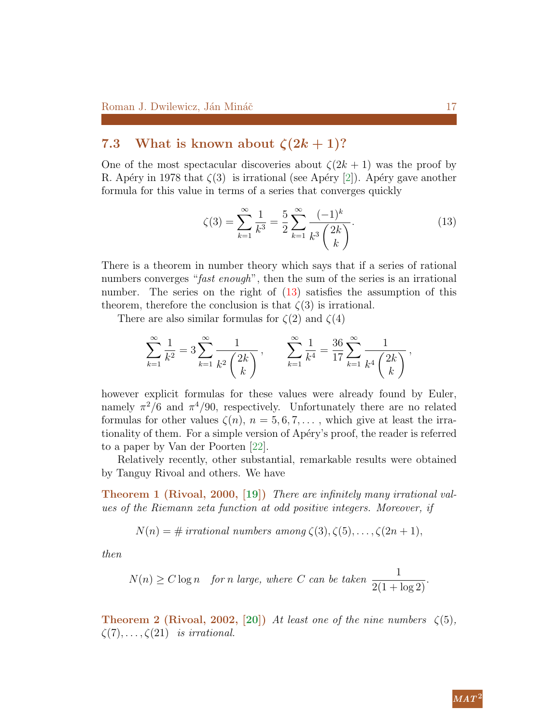## 7.3 What is known about  $\zeta(2k+1)$ ?

One of the most spectacular discoveries about  $\zeta(2k+1)$  was the proof by R. Apéry in 1978 that  $\zeta(3)$  is irrational (see Apéry [\[2\]](#page-23-5)). Apéry gave another formula for this value in terms of a series that converges quickly

<span id="page-16-0"></span>
$$
\zeta(3) = \sum_{k=1}^{\infty} \frac{1}{k^3} = \frac{5}{2} \sum_{k=1}^{\infty} \frac{(-1)^k}{k^3 \binom{2k}{k}}.
$$
\n(13)

There is a theorem in number theory which says that if a series of rational numbers converges "fast enough", then the sum of the series is an irrational number. The series on the right of  $(13)$  satisfies the assumption of this theorem, therefore the conclusion is that  $\zeta(3)$  is irrational.

There are also similar formulas for  $\zeta(2)$  and  $\zeta(4)$ 

$$
\sum_{k=1}^{\infty} \frac{1}{k^2} = 3 \sum_{k=1}^{\infty} \frac{1}{k^2 \binom{2k}{k}}, \qquad \sum_{k=1}^{\infty} \frac{1}{k^4} = \frac{36}{17} \sum_{k=1}^{\infty} \frac{1}{k^4 \binom{2k}{k}},
$$

however explicit formulas for these values were already found by Euler, namely  $\pi^2/6$  and  $\pi^4/90$ , respectively. Unfortunately there are no related formulas for other values  $\zeta(n)$ ,  $n = 5, 6, 7, \ldots$ , which give at least the irrationality of them. For a simple version of Apéry's proof, the reader is referred to a paper by Van der Poorten [\[22\]](#page-25-2).

Relatively recently, other substantial, remarkable results were obtained by Tanguy Rivoal and others. We have

Theorem 1 (Rivoal, 2000, [\[19\]](#page-24-9)) There are infinitely many irrational values of the Riemann zeta function at odd positive integers. Moreover, if

$$
N(n) = # irrational numbers among \zeta(3), \zeta(5), \ldots, \zeta(2n+1),
$$

then

$$
N(n) \ge C \log n \quad \text{for } n \text{ large, where } C \text{ can be taken } \frac{1}{2(1 + \log 2)}.
$$

**Theorem 2 (Rivoal, 2002, [\[20\]](#page-24-10))** At least one of the nine numbers  $\zeta(5)$ ,  $\zeta(7), \ldots, \zeta(21)$  is irrational.

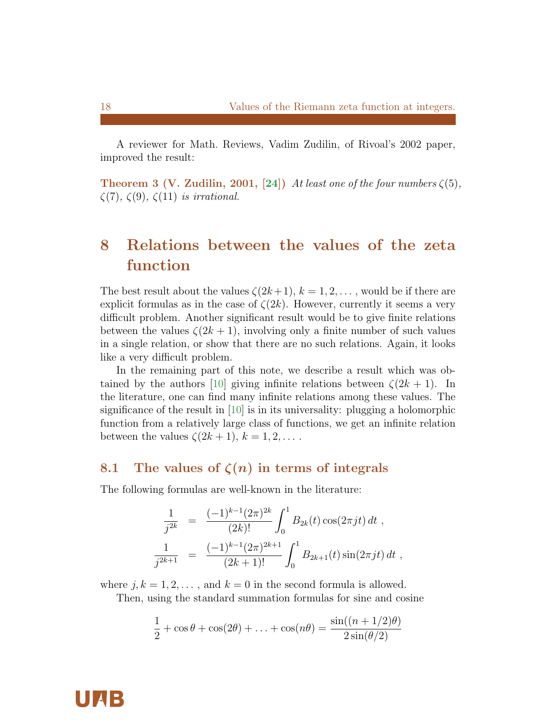A reviewer for Math. Reviews, Vadim Zudilin, of Rivoal's 2002 paper, improved the result:

**Theorem 3 (V. Zudilin, 2001, [\[24\]](#page-25-4))** At least one of the four numbers  $\zeta(5)$ ,  $\zeta(7), \zeta(9), \zeta(11)$  is irrational.

# 8 Relations between the values of the zeta function

The best result about the values  $\zeta(2k+1), k = 1, 2, \ldots$ , would be if there are explicit formulas as in the case of  $\zeta(2k)$ . However, currently it seems a very difficult problem. Another significant result would be to give finite relations between the values  $\zeta(2k+1)$ , involving only a finite number of such values in a single relation, or show that there are no such relations. Again, it looks like a very difficult problem.

In the remaining part of this note, we describe a result which was ob-tained by the authors [\[10\]](#page-24-11) giving infinite relations between  $\zeta(2k+1)$ . In the literature, one can find many infinite relations among these values. The significance of the result in [\[10\]](#page-24-11) is in its universality: plugging a holomorphic function from a relatively large class of functions, we get an infinite relation between the values  $\zeta(2k+1), k = 1, 2, \ldots$ .

#### 8.1 The values of  $\zeta(n)$  in terms of integrals

The following formulas are well-known in the literature:

$$
\frac{1}{j^{2k}} = \frac{(-1)^{k-1}(2\pi)^{2k}}{(2k)!} \int_0^1 B_{2k}(t) \cos(2\pi j t) dt ,
$$
  

$$
\frac{1}{j^{2k+1}} = \frac{(-1)^{k-1}(2\pi)^{2k+1}}{(2k+1)!} \int_0^1 B_{2k+1}(t) \sin(2\pi j t) dt ,
$$

where  $j, k = 1, 2, \ldots$ , and  $k = 0$  in the second formula is allowed.

Then, using the standard summation formulas for sine and cosine

$$
\frac{1}{2} + \cos\theta + \cos(2\theta) + \ldots + \cos(n\theta) = \frac{\sin((n+1/2)\theta)}{2\sin(\theta/2)}
$$



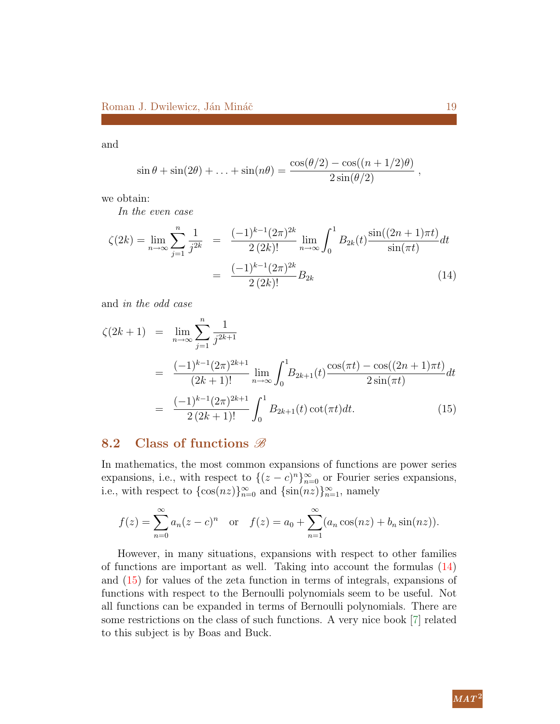and

$$
\sin \theta + \sin(2\theta) + \ldots + \sin(n\theta) = \frac{\cos(\theta/2) - \cos((n+1/2)\theta)}{2\sin(\theta/2)} ,
$$

we obtain:

In the even case

<span id="page-18-0"></span>
$$
\zeta(2k) = \lim_{n \to \infty} \sum_{j=1}^{n} \frac{1}{j^{2k}} = \frac{(-1)^{k-1} (2\pi)^{2k}}{2 (2k)!} \lim_{n \to \infty} \int_{0}^{1} B_{2k}(t) \frac{\sin((2n+1)\pi t)}{\sin(\pi t)} dt
$$

$$
= \frac{(-1)^{k-1} (2\pi)^{2k}}{2 (2k)!} B_{2k} \tag{14}
$$

and in the odd case

<span id="page-18-1"></span>
$$
\zeta(2k+1) = \lim_{n \to \infty} \sum_{j=1}^{n} \frac{1}{j^{2k+1}}
$$
  
= 
$$
\frac{(-1)^{k-1}(2\pi)^{2k+1}}{(2k+1)!} \lim_{n \to \infty} \int_{0}^{1} B_{2k+1}(t) \frac{\cos(\pi t) - \cos((2n+1)\pi t)}{2\sin(\pi t)} dt
$$
  
= 
$$
\frac{(-1)^{k-1}(2\pi)^{2k+1}}{2(2k+1)!} \int_{0}^{1} B_{2k+1}(t) \cot(\pi t) dt.
$$
 (15)

#### 8.2 Class of functions  $\mathscr B$

In mathematics, the most common expansions of functions are power series expansions, i.e., with respect to  $\{(z-c)^n\}_{n=0}^{\infty}$  or Fourier series expansions, i.e., with respect to  $\{\cos(nz)\}_{n=0}^{\infty}$  and  $\{\sin(nz)\}_{n=1}^{\infty}$ , namely

$$
f(z) = \sum_{n=0}^{\infty} a_n (z - c)^n
$$
 or  $f(z) = a_0 + \sum_{n=1}^{\infty} (a_n \cos(nz) + b_n \sin(nz)).$ 

However, in many situations, expansions with respect to other families of functions are important as well. Taking into account the formulas [\(14\)](#page-18-0) and [\(15\)](#page-18-1) for values of the zeta function in terms of integrals, expansions of functions with respect to the Bernoulli polynomials seem to be useful. Not all functions can be expanded in terms of Bernoulli polynomials. There are some restrictions on the class of such functions. A very nice book [\[7\]](#page-23-6) related to this subject is by Boas and Buck.

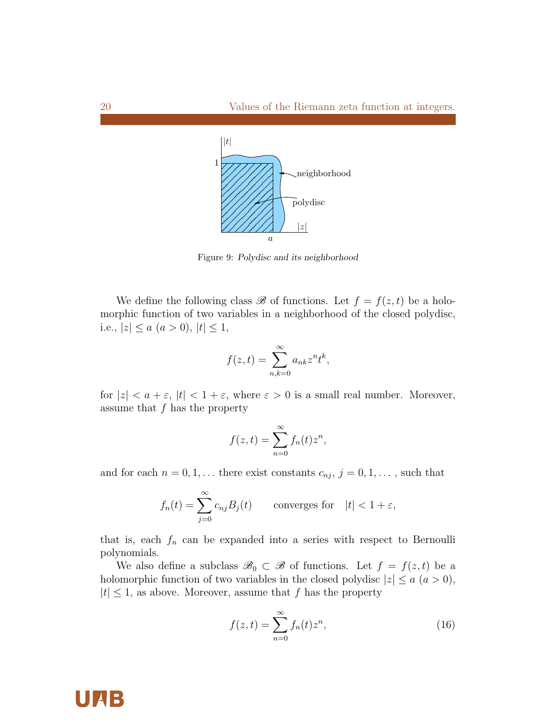

Figure 9: Polydisc and its neighborhood

We define the following class  $\mathscr B$  of functions. Let  $f = f(z, t)$  be a holomorphic function of two variables in a neighborhood of the closed polydisc, i.e.,  $|z| \le a$   $(a > 0)$ ,  $|t| \le 1$ ,

$$
f(z,t) = \sum_{n,k=0}^{\infty} a_{nk} z^n t^k,
$$

for  $|z| < a + \varepsilon$ ,  $|t| < 1 + \varepsilon$ , where  $\varepsilon > 0$  is a small real number. Moreover, assume that  $f$  has the property

$$
f(z,t) = \sum_{n=0}^{\infty} f_n(t) z^n,
$$

and for each  $n = 0, 1, \ldots$  there exist constants  $c_{nj}, j = 0, 1, \ldots$ , such that

$$
f_n(t) = \sum_{j=0}^{\infty} c_{nj} B_j(t) \qquad \text{converges for} \quad |t| < 1 + \varepsilon,
$$

that is, each  $f_n$  can be expanded into a series with respect to Bernoulli polynomials.

We also define a subclass  $\mathscr{B}_0 \subset \mathscr{B}$  of functions. Let  $f = f(z, t)$  be a holomorphic function of two variables in the closed polydisc  $|z| \le a$   $(a > 0)$ ,  $|t| \leq 1$ , as above. Moreover, assume that f has the property

<span id="page-19-0"></span>
$$
f(z,t) = \sum_{n=0}^{\infty} f_n(t) z^n,
$$
\n(16)



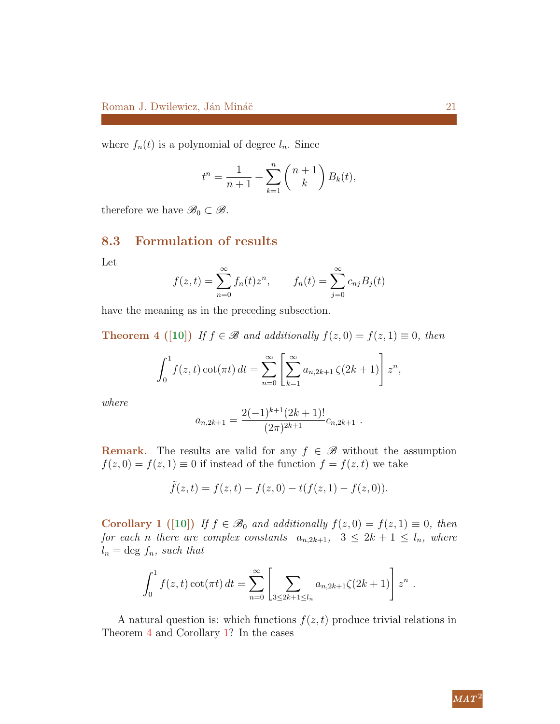where  $f_n(t)$  is a polynomial of degree  $l_n$ . Since

$$
t^{n} = \frac{1}{n+1} + \sum_{k=1}^{n} {n+1 \choose k} B_{k}(t),
$$

therefore we have  $\mathscr{B}_0 \subset \mathscr{B}$ .

#### 8.3 Formulation of results

Let

$$
f(z,t) = \sum_{n=0}^{\infty} f_n(t) z^n
$$
,  $f_n(t) = \sum_{j=0}^{\infty} c_{nj} B_j(t)$ 

<span id="page-20-0"></span>have the meaning as in the preceding subsection.

**Theorem 4** ([\[10\]](#page-24-11)) If  $f \in \mathcal{B}$  and additionally  $f(z, 0) = f(z, 1) \equiv 0$ , then

$$
\int_0^1 f(z,t) \cot(\pi t) dt = \sum_{n=0}^\infty \left[ \sum_{k=1}^\infty a_{n,2k+1} \zeta(2k+1) \right] z^n,
$$

where

$$
a_{n,2k+1} = \frac{2(-1)^{k+1}(2k+1)!}{(2\pi)^{2k+1}} c_{n,2k+1} .
$$

**Remark.** The results are valid for any  $f \in \mathcal{B}$  without the assumption  $f(z, 0) = f(z, 1) \equiv 0$  if instead of the function  $f = f(z, t)$  we take

$$
\tilde{f}(z,t) = f(z,t) - f(z,0) - t(f(z,1) - f(z,0)).
$$

<span id="page-20-1"></span>Corollary 1 ([\[10\]](#page-24-11)) If  $f \in \mathcal{B}_0$  and additionally  $f(z, 0) = f(z, 1) \equiv 0$ , then for each n there are complex constants  $a_{n,2k+1}$ ,  $3 \leq 2k+1 \leq l_n$ , where  $l_n = \text{deg } f_n$ , such that

$$
\int_0^1 f(z,t) \cot(\pi t) dt = \sum_{n=0}^\infty \left[ \sum_{3 \le 2k+1 \le l_n} a_{n,2k+1} \zeta(2k+1) \right] z^n.
$$

A natural question is: which functions  $f(z, t)$  produce trivial relations in Theorem [4](#page-20-0) and Corollary [1?](#page-20-1) In the cases

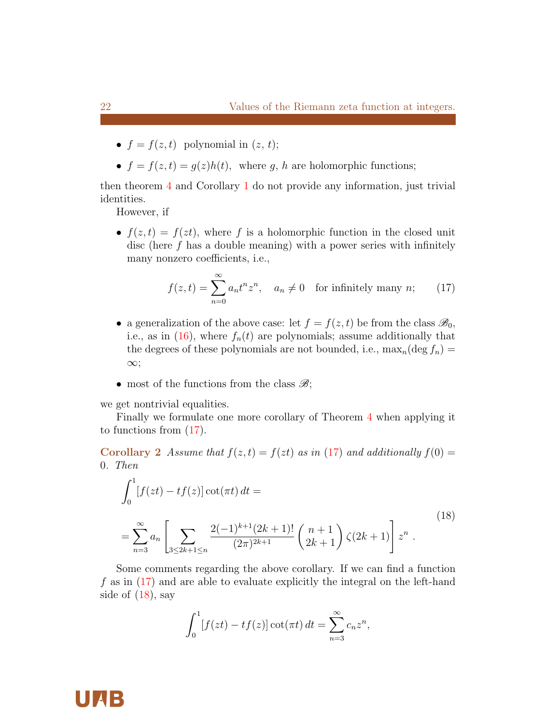- $f = f(z, t)$  polynomial in  $(z, t)$ ;
- $f = f(z, t) = g(z)h(t)$ , where g, h are holomorphic functions;

then theorem [4](#page-20-0) and Corollary [1](#page-20-1) do not provide any information, just trivial identities.

However, if

•  $f(z, t) = f(zt)$ , where f is a holomorphic function in the closed unit disc (here  $f$  has a double meaning) with a power series with infinitely many nonzero coefficients, i.e.,

<span id="page-21-0"></span>
$$
f(z,t) = \sum_{n=0}^{\infty} a_n t^n z^n, \quad a_n \neq 0 \quad \text{for infinitely many } n; \qquad (17)
$$

- a generalization of the above case: let  $f = f(z, t)$  be from the class  $\mathscr{B}_0$ , i.e., as in  $(16)$ , where  $f_n(t)$  are polynomials; assume additionally that the degrees of these polynomials are not bounded, i.e.,  $\max_n(\deg f_n) =$ ∞;
- most of the functions from the class  $\mathscr{B}$ ;

we get nontrivial equalities.

Finally we formulate one more corollary of Theorem [4](#page-20-0) when applying it to functions from [\(17\)](#page-21-0).

**Corollary 2** Assume that  $f(z,t) = f(zt)$  as in [\(17\)](#page-21-0) and additionally  $f(0) =$ 0. Then

<span id="page-21-1"></span>
$$
\int_0^1 [f(zt) - tf(z)] \cot(\pi t) dt =
$$
\n
$$
= \sum_{n=3}^\infty a_n \left[ \sum_{3 \le 2k+1 \le n} \frac{2(-1)^{k+1}(2k+1)!}{(2\pi)^{2k+1}} \left( \frac{n+1}{2k+1} \right) \zeta(2k+1) \right] z^n .
$$
\n(18)

Some comments regarding the above corollary. If we can find a function f as in [\(17\)](#page-21-0) and are able to evaluate explicitly the integral on the left-hand side of  $(18)$ , say

$$
\int_0^1 [f(zt) - tf(z)] \cot(\pi t) dt = \sum_{n=3}^\infty c_n z^n,
$$

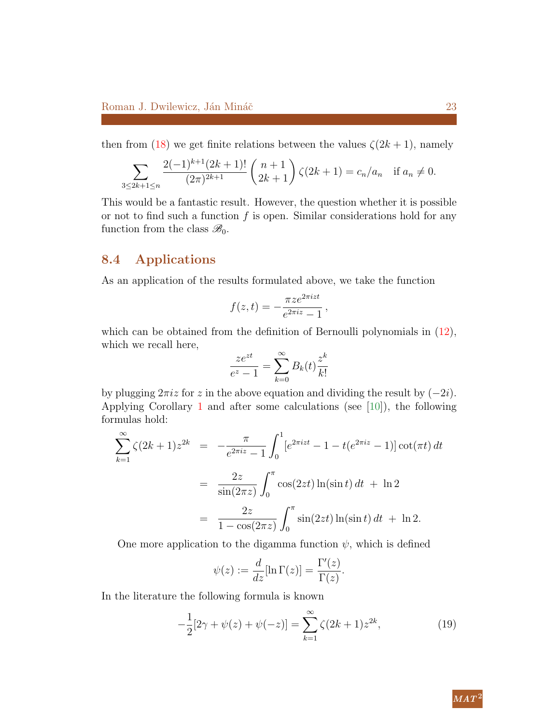then from [\(18\)](#page-21-1) we get finite relations between the values  $\zeta(2k+1)$ , namely

$$
\sum_{3\leq 2k+1\leq n} \frac{2(-1)^{k+1}(2k+1)!}{(2\pi)^{2k+1}} \binom{n+1}{2k+1} \zeta(2k+1) = c_n/a_n \quad \text{if } a_n \neq 0.
$$

This would be a fantastic result. However, the question whether it is possible or not to find such a function  $f$  is open. Similar considerations hold for any function from the class  $\mathscr{B}_0$ .

#### 8.4 Applications

As an application of the results formulated above, we take the function

$$
f(z,t) = -\frac{\pi z e^{2\pi i z t}}{e^{2\pi i z} - 1},
$$

which can be obtained from the definition of Bernoulli polynomials in  $(12)$ , which we recall here,

$$
\frac{ze^{zt}}{e^z - 1} = \sum_{k=0}^{\infty} B_k(t) \frac{z^k}{k!}
$$

by plugging  $2\pi i z$  for z in the above equation and dividing the result by  $(-2i)$ . Applying Corollary [1](#page-20-1) and after some calculations (see  $[10]$ ), the following formulas hold:

$$
\sum_{k=1}^{\infty} \zeta(2k+1)z^{2k} = -\frac{\pi}{e^{2\pi i z} - 1} \int_0^1 [e^{2\pi i z t} - 1 - t(e^{2\pi i z} - 1)] \cot(\pi t) dt
$$
  
= 
$$
\frac{2z}{\sin(2\pi z)} \int_0^{\pi} \cos(2zt) \ln(\sin t) dt + \ln 2
$$
  
= 
$$
\frac{2z}{1 - \cos(2\pi z)} \int_0^{\pi} \sin(2zt) \ln(\sin t) dt + \ln 2.
$$

One more application to the digamma function  $\psi$ , which is defined

<span id="page-22-0"></span>
$$
\psi(z) := \frac{d}{dz} [\ln \Gamma(z)] = \frac{\Gamma'(z)}{\Gamma(z)}.
$$

In the literature the following formula is known

$$
-\frac{1}{2}[2\gamma + \psi(z) + \psi(-z)] = \sum_{k=1}^{\infty} \zeta(2k+1)z^{2k},\tag{19}
$$

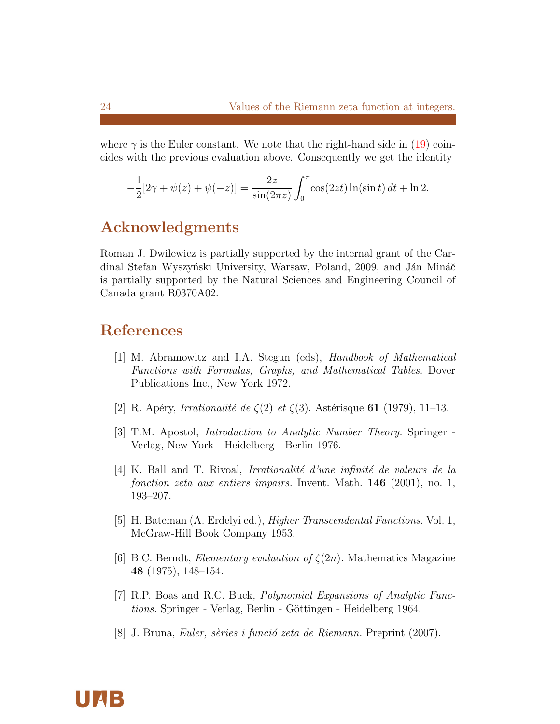where  $\gamma$  is the Euler constant. We note that the right-hand side in [\(19\)](#page-22-0) coincides with the previous evaluation above. Consequently we get the identity

$$
-\frac{1}{2}[2\gamma + \psi(z) + \psi(-z)] = \frac{2z}{\sin(2\pi z)} \int_0^{\pi} \cos(2zt) \ln(\sin t) dt + \ln 2.
$$

## Acknowledgments

Roman J. Dwilewicz is partially supported by the internal grant of the Cardinal Stefan Wyszyński University, Warsaw, Poland, 2009, and Ján Mináč is partially supported by the Natural Sciences and Engineering Council of Canada grant R0370A02.

# References

- <span id="page-23-3"></span>[1] M. Abramowitz and I.A. Stegun (eds), Handbook of Mathematical Functions with Formulas, Graphs, and Mathematical Tables. Dover Publications Inc., New York 1972.
- <span id="page-23-5"></span>[2] R. Apéry, *Irrationalité de*  $\zeta(2)$  *et*  $\zeta(3)$ . Astérisque **61** (1979), 11–13.
- <span id="page-23-0"></span>[3] T.M. Apostol, Introduction to Analytic Number Theory. Springer - Verlag, New York - Heidelberg - Berlin 1976.
- [4] K. Ball and T. Rivoal, Irrationalité d'une infinité de valeurs de la fonction zeta aux entiers impairs. Invent. Math. 146 (2001), no. 1, 193–207.
- <span id="page-23-4"></span>[5] H. Bateman (A. Erdelyi ed.), Higher Transcendental Functions. Vol. 1, McGraw-Hill Book Company 1953.
- <span id="page-23-2"></span>[6] B.C. Berndt, *Elementary evaluation of*  $\zeta(2n)$ . Mathematics Magazine 48 (1975), 148–154.
- <span id="page-23-6"></span>[7] R.P. Boas and R.C. Buck, Polynomial Expansions of Analytic Functions. Springer - Verlag, Berlin - Göttingen - Heidelberg 1964.
- <span id="page-23-1"></span>[8] J. Bruna, *Euler, sèries i funció zeta de Riemann*. Preprint (2007).

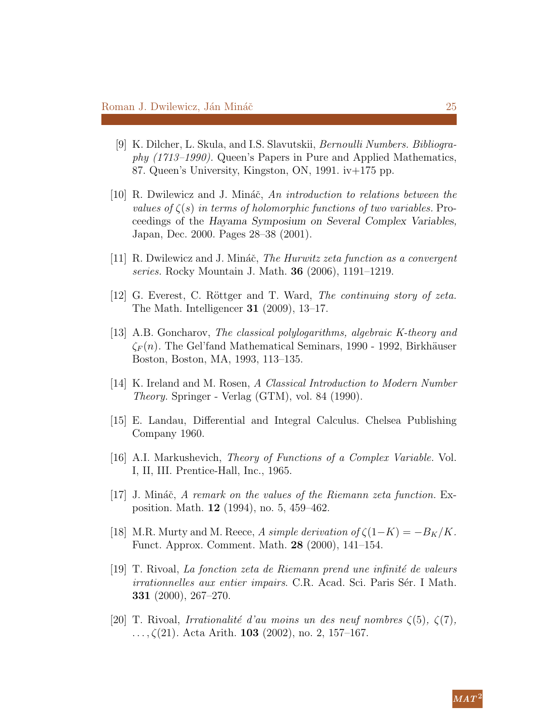- <span id="page-24-7"></span>[9] K. Dilcher, L. Skula, and I.S. Slavutskii, Bernoulli Numbers. Bibliography (1713–1990). Queen's Papers in Pure and Applied Mathematics, 87. Queen's University, Kingston, ON, 1991. iv+175 pp.
- <span id="page-24-11"></span>[10] R. Dwilewicz and J. Mináč, An introduction to relations between the values of  $\zeta(s)$  in terms of holomorphic functions of two variables. Proceedings of the Hayama Symposium on Several Complex Variables, Japan, Dec. 2000. Pages 28–38 (2001).
- <span id="page-24-6"></span>[11] R. Dwilewicz and J. Mináč, *The Hurwitz zeta function as a convergent* series. Rocky Mountain J. Math. 36 (2006), 1191–1219.
- <span id="page-24-1"></span>[12] G. Everest, C. Röttger and T. Ward, The continuing story of zeta. The Math. Intelligencer 31 (2009), 13–17.
- <span id="page-24-3"></span>[13] A.B. Goncharov, The classical polylogarithms, algebraic K-theory and  $\zeta_F(n)$ . The Gel'fand Mathematical Seminars, 1990 - 1992, Birkhäuser Boston, Boston, MA, 1993, 113–135.
- <span id="page-24-0"></span>[14] K. Ireland and M. Rosen, A Classical Introduction to Modern Number Theory. Springer - Verlag (GTM), vol. 84 (1990).
- <span id="page-24-4"></span>[15] E. Landau, Differential and Integral Calculus. Chelsea Publishing Company 1960.
- <span id="page-24-5"></span>[16] A.I. Markushevich, Theory of Functions of a Complex Variable. Vol. I, II, III. Prentice-Hall, Inc., 1965.
- <span id="page-24-8"></span>[17] J. Mináč, A remark on the values of the Riemann zeta function. Exposition. Math. 12 (1994), no. 5, 459–462.
- <span id="page-24-2"></span>[18] M.R. Murty and M. Reece, A simple derivation of  $\zeta(1-K) = -B_K/K$ . Funct. Approx. Comment. Math. 28 (2000), 141–154.
- <span id="page-24-9"></span> $[19]$  T. Rivoal, La fonction zeta de Riemann prend une infinité de valeurs irrationnelles aux entier impairs. C.R. Acad. Sci. Paris Sér. I Math. 331 (2000), 267–270.
- <span id="page-24-10"></span>[20] T. Rivoal, Irrationalité d'au moins un des neuf nombres  $\zeta(5)$ ,  $\zeta(7)$ ,  $\ldots$ ,  $\zeta(21)$ . Acta Arith. **103** (2002), no. 2, 157-167.